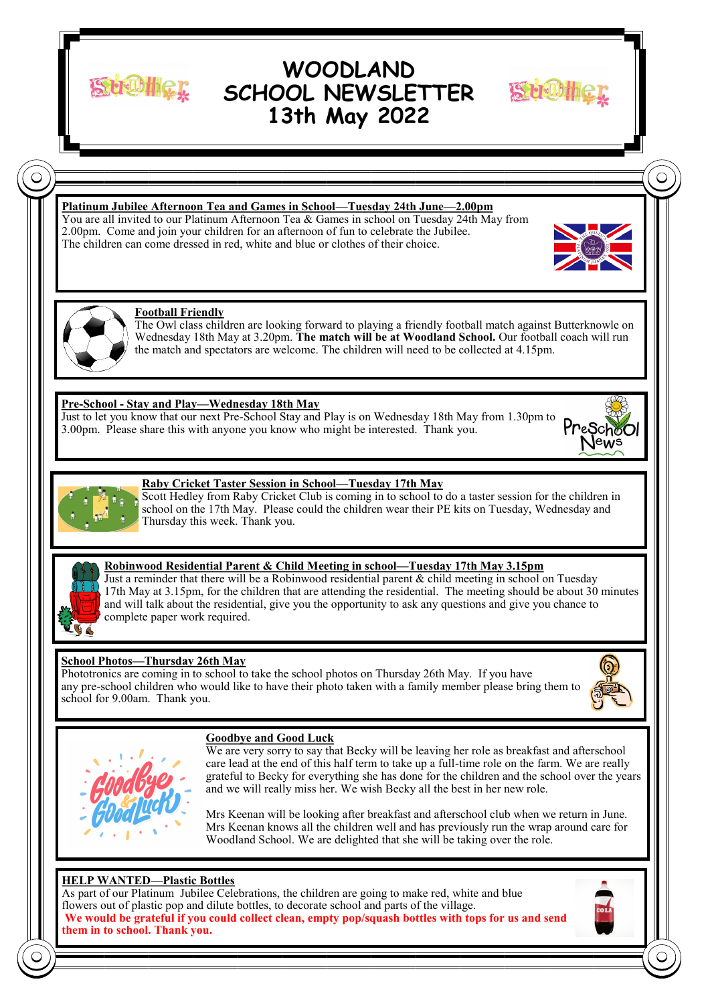

# **WOODLAND SCHOOL NEWSLETTER 13th May 2022**



# **Platinum Jubilee Afternoon Tea and Games in School—Tuesday 24th June—2.00pm**

You are all invited to our Platinum Afternoon Tea & Games in school on Tuesday 24th May from 2.00pm. Come and join your children for an afternoon of fun to celebrate the Jubilee. The children can come dressed in red, white and blue or clothes of their choice.





#### **Football Friendly**

The Owl class children are looking forward to playing a friendly football match against Butterknowle on Wednesday 18th May at 3.20pm. **The match will be at Woodland School.** Our football coach will run the match and spectators are welcome. The children will need to be collected at 4.15pm.

#### **Pre-School - Stay and Play—Wednesday 18th May**

Just to let you know that our next Pre-School Stay and Play is on Wednesday 18th May from 1.30pm to 3.00pm. Please share this with anyone you know who might be interested. Thank you.





#### **Raby Cricket Taster Session in School—Tuesday 17th May**

Scott Hedley from Raby Cricket Club is coming in to school to do a taster session for the children in school on the 17th May. Please could the children wear their PE kits on Tuesday, Wednesday and Thursday this week. Thank you.



#### **Robinwood Residential Parent & Child Meeting in school—Tuesday 17th May 3.15pm**

Just a reminder that there will be a Robinwood residential parent & child meeting in school on Tuesday 17th May at 3.15pm, for the children that are attending the residential. The meeting should be about 30 minutes and will talk about the residential, give you the opportunity to ask any questions and give you chance to complete paper work required.

## **School Photos—Thursday 26th May**

Phototronics are coming in to school to take the school photos on Thursday 26th May. If you have any pre-school children who would like to have their photo taken with a family member please bring them to school for 9.00am. Thank you.





## **Goodbye and Good Luck**

We are very sorry to say that Becky will be leaving her role as breakfast and afterschool care lead at the end of this half term to take up a full-time role on the farm. We are really grateful to Becky for everything she has done for the children and the school over the years and we will really miss her. We wish Becky all the best in her new role.

Mrs Keenan will be looking after breakfast and afterschool club when we return in June. Mrs Keenan knows all the children well and has previously run the wrap around care for Woodland School. We are delighted that she will be taking over the role.

## **HELP WANTED—Plastic Bottles**

As part of our Platinum Jubilee Celebrations, the children are going to make red, white and blue flowers out of plastic pop and dilute bottles, to decorate school and parts of the village. **We would be grateful if you could collect clean, empty pop/squash bottles with tops for us and send them in to school. Thank you.**